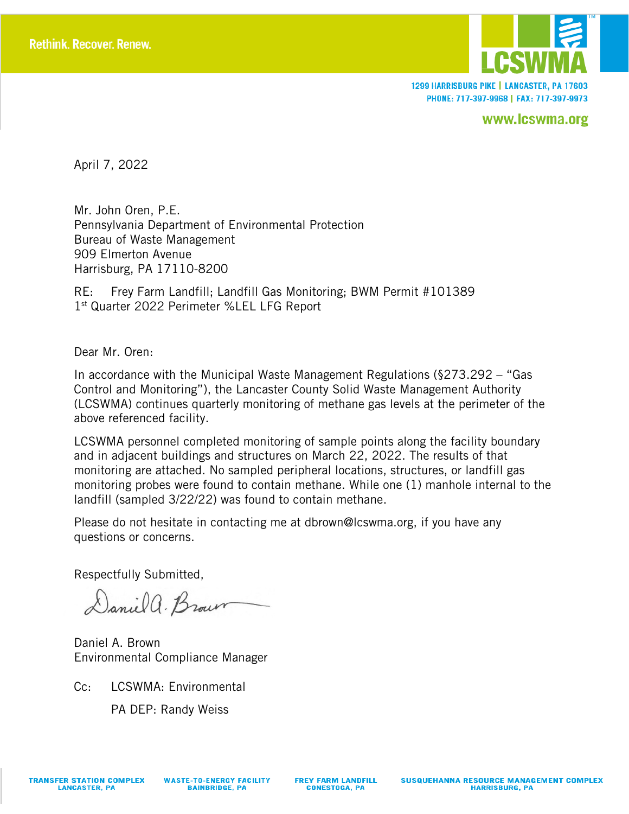

1299 HARRISBURG PIKE | LANCASTER, PA 17603 PHONE: 717-397-9968 | FAX: 717-397-9973

www.lcswma.org

April 7, 2022

Mr. John Oren, P.E. Pennsylvania Department of Environmental Protection Bureau of Waste Management 909 Elmerton Avenue Harrisburg, PA 17110-8200

RE: Frey Farm Landfill; Landfill Gas Monitoring; BWM Permit #101389 1st Quarter 2022 Perimeter %LEL LFG Report

Dear Mr. Oren:

In accordance with the Municipal Waste Management Regulations (§273.292 – "Gas Control and Monitoring"), the Lancaster County Solid Waste Management Authority (LCSWMA) continues quarterly monitoring of methane gas levels at the perimeter of the above referenced facility.

LCSWMA personnel completed monitoring of sample points along the facility boundary and in adjacent buildings and structures on March 22, 2022. The results of that monitoring are attached. No sampled peripheral locations, structures, or landfill gas monitoring probes were found to contain methane. While one (1) manhole internal to the landfill (sampled 3/22/22) was found to contain methane.

Please do not hesitate in contacting me at dbrown@lcswma.org, if you have any questions or concerns.

Respectfully Submitted,

Daniel a. Brown

Daniel A. Brown Environmental Compliance Manager

Cc: LCSWMA: Environmental

PA DEP: Randy Weiss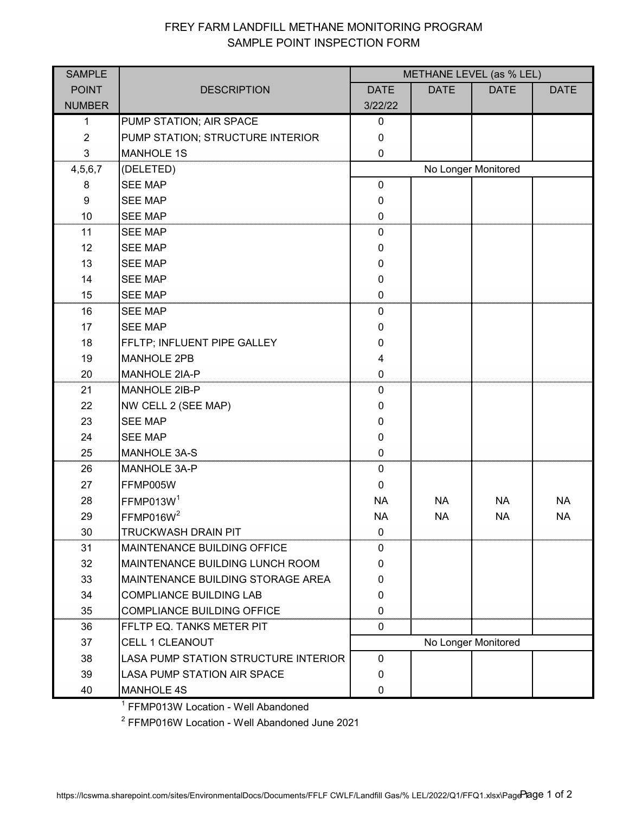## FREY FARM LANDFILL METHANE MONITORING PROGRAM SAMPLE POINT INSPECTION FORM

| <b>SAMPLE</b>    |                                        | METHANE LEVEL (as % LEL) |             |             |             |  |  |
|------------------|----------------------------------------|--------------------------|-------------|-------------|-------------|--|--|
| <b>POINT</b>     | <b>DESCRIPTION</b>                     | <b>DATE</b>              | <b>DATE</b> | <b>DATE</b> | <b>DATE</b> |  |  |
| <b>NUMBER</b>    |                                        | 3/22/22                  |             |             |             |  |  |
| 1                | PUMP STATION; AIR SPACE                | 0                        |             |             |             |  |  |
| $\overline{2}$   | PUMP STATION; STRUCTURE INTERIOR       | $\mathbf 0$              |             |             |             |  |  |
| 3                | <b>MANHOLE 1S</b>                      | 0                        |             |             |             |  |  |
| 4,5,6,7          | (DELETED)                              | No Longer Monitored      |             |             |             |  |  |
| 8                | <b>SEE MAP</b>                         | $\mathbf 0$              |             |             |             |  |  |
| $\boldsymbol{9}$ | <b>SEE MAP</b>                         | 0                        |             |             |             |  |  |
| 10               | <b>SEE MAP</b>                         | $\mathbf 0$              |             |             |             |  |  |
| 11               | <b>SEE MAP</b>                         | 0                        |             |             |             |  |  |
| 12               | <b>SEE MAP</b>                         | 0                        |             |             |             |  |  |
| 13               | <b>SEE MAP</b>                         | 0                        |             |             |             |  |  |
| 14               | <b>SEE MAP</b>                         | 0                        |             |             |             |  |  |
| 15               | <b>SEE MAP</b>                         | 0                        |             |             |             |  |  |
| 16               | <b>SEE MAP</b>                         | 0                        |             |             |             |  |  |
| 17               | <b>SEE MAP</b>                         | $\mathbf{0}$             |             |             |             |  |  |
| 18               | FFLTP; INFLUENT PIPE GALLEY            | 0                        |             |             |             |  |  |
| 19               | <b>MANHOLE 2PB</b>                     | 4                        |             |             |             |  |  |
| 20               | <b>MANHOLE 2IA-P</b>                   | 0                        |             |             |             |  |  |
| 21               | MANHOLE 2IB-P                          | 0                        |             |             |             |  |  |
| 22               | NW CELL 2 (SEE MAP)                    | 0                        |             |             |             |  |  |
| 23               | <b>SEE MAP</b>                         | 0                        |             |             |             |  |  |
| 24               | <b>SEE MAP</b>                         | 0                        |             |             |             |  |  |
| 25               | <b>MANHOLE 3A-S</b>                    | 0                        |             |             |             |  |  |
| 26               | MANHOLE 3A-P                           | 0                        |             |             |             |  |  |
| 27               | FFMP005W                               | $\mathbf 0$              |             |             |             |  |  |
| 28               | FFMP013W <sup>1</sup>                  | <b>NA</b>                | <b>NA</b>   | <b>NA</b>   | <b>NA</b>   |  |  |
| 29               | FFMP016W <sup>2</sup>                  | <b>NA</b>                | <b>NA</b>   | <b>NA</b>   | <b>NA</b>   |  |  |
| 30               | <b>TRUCKWASH DRAIN PIT</b>             | $\mathbf{0}$             |             |             |             |  |  |
| 31               | <b>MAINTENANCE BUILDING OFFICE</b>     | 0                        |             |             |             |  |  |
| 32               | <b>MAINTENANCE BUILDING LUNCH ROOM</b> | 0                        |             |             |             |  |  |
| 33               | MAINTENANCE BUILDING STORAGE AREA      | $\mathbf{0}$             |             |             |             |  |  |
| 34               | <b>COMPLIANCE BUILDING LAB</b>         | 0                        |             |             |             |  |  |
| 35               | <b>COMPLIANCE BUILDING OFFICE</b>      | $\Omega$                 |             |             |             |  |  |
| 36               | FFLTP EQ. TANKS METER PIT              | 0                        |             |             |             |  |  |
| 37               | <b>CELL 1 CLEANOUT</b>                 | No Longer Monitored      |             |             |             |  |  |
| 38               | LASA PUMP STATION STRUCTURE INTERIOR   | $\mathbf{0}$             |             |             |             |  |  |
| 39               | LASA PUMP STATION AIR SPACE            | 0                        |             |             |             |  |  |
| 40               | <b>MANHOLE 4S</b>                      | 0                        |             |             |             |  |  |

<sup>1</sup> FFMP013W Location - Well Abandoned

<sup>2</sup> FFMP016W Location - Well Abandoned June 2021